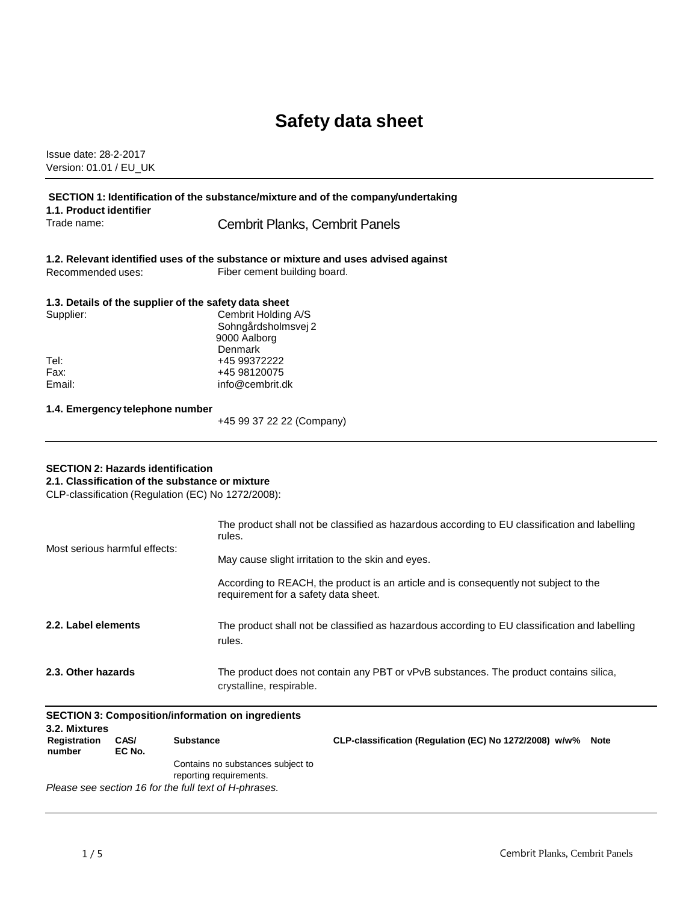# **Safety data sheet**

Issue date: 28-2-2017 Version: 01.01 / EU\_UK

| SECTION 1: Identification of the substance/mixture and of the company/undertaking<br>1.1. Product identifier                                      |                                                                                                                              |  |
|---------------------------------------------------------------------------------------------------------------------------------------------------|------------------------------------------------------------------------------------------------------------------------------|--|
| Trade name:                                                                                                                                       | Cembrit Planks, Cembrit Panels                                                                                               |  |
|                                                                                                                                                   | 1.2. Relevant identified uses of the substance or mixture and uses advised against                                           |  |
| Recommended uses:                                                                                                                                 | Fiber cement building board.                                                                                                 |  |
| 1.3. Details of the supplier of the safety data sheet                                                                                             |                                                                                                                              |  |
| Supplier:                                                                                                                                         | Cembrit Holding A/S<br>Sohngårdsholmsvej 2<br>9000 Aalborg<br>Denmark                                                        |  |
| Tel:                                                                                                                                              | +45 99372222                                                                                                                 |  |
| Fax:<br>Email:                                                                                                                                    | +45 98120075<br>info@cembrit.dk                                                                                              |  |
| 1.4. Emergency telephone number                                                                                                                   | +45 99 37 22 22 (Company)                                                                                                    |  |
| <b>SECTION 2: Hazards identification</b><br>2.1. Classification of the substance or mixture<br>CLP-classification (Regulation (EC) No 1272/2008): |                                                                                                                              |  |
| Most serious harmful effects:                                                                                                                     | The product shall not be classified as hazardous according to EU classification and labelling<br>rules.                      |  |
|                                                                                                                                                   | May cause slight irritation to the skin and eyes.                                                                            |  |
|                                                                                                                                                   | According to REACH, the product is an article and is consequently not subject to the<br>requirement for a safety data sheet. |  |
| 2.2. Label elements                                                                                                                               | The product shall not be classified as hazardous according to EU classification and labelling<br>rules.                      |  |

**2.3. Other hazards** The product does not contain any PBT or vPvB substances. The product contains silica, crystalline, respirable.

| <b>SECTION 3: Composition/information on ingredients</b> |                |                                                              |                                                             |  |
|----------------------------------------------------------|----------------|--------------------------------------------------------------|-------------------------------------------------------------|--|
| 3.2. Mixtures                                            |                |                                                              |                                                             |  |
| Registration<br>number                                   | CAS/<br>EC No. | <b>Substance</b>                                             | CLP-classification (Regulation (EC) No 1272/2008) w/w% Note |  |
|                                                          |                | Contains no substances subject to<br>reporting requirements. |                                                             |  |
| Please see section 16 for the full text of H-phrases.    |                |                                                              |                                                             |  |

*Please see section 16 for the full text of H-phrases.*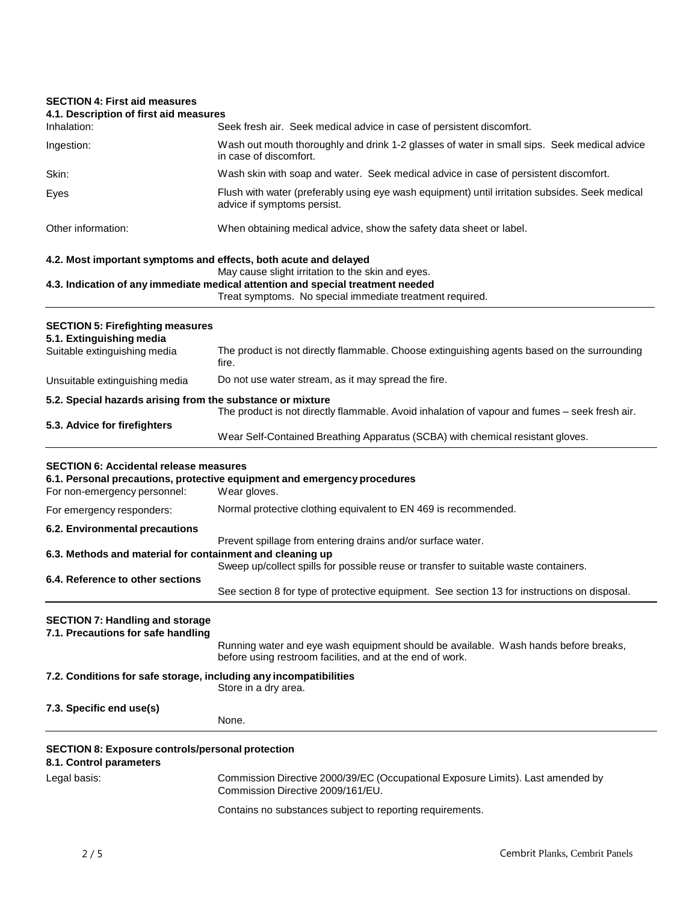# **SECTION 4: First aid measures**

| JEUTIUN 4. FIISI dIU IIIBASUIBS                                                    |                                                                                                                                                                                                  |
|------------------------------------------------------------------------------------|--------------------------------------------------------------------------------------------------------------------------------------------------------------------------------------------------|
| 4.1. Description of first aid measures<br>Inhalation:                              | Seek fresh air. Seek medical advice in case of persistent discomfort.                                                                                                                            |
| Ingestion:                                                                         | Wash out mouth thoroughly and drink 1-2 glasses of water in small sips. Seek medical advice<br>in case of discomfort.                                                                            |
| Skin:                                                                              | Wash skin with soap and water. Seek medical advice in case of persistent discomfort.                                                                                                             |
| Eyes                                                                               | Flush with water (preferably using eye wash equipment) until irritation subsides. Seek medical<br>advice if symptoms persist.                                                                    |
| Other information:                                                                 | When obtaining medical advice, show the safety data sheet or label.                                                                                                                              |
| 4.2. Most important symptoms and effects, both acute and delayed                   |                                                                                                                                                                                                  |
|                                                                                    | May cause slight irritation to the skin and eyes.<br>4.3. Indication of any immediate medical attention and special treatment needed<br>Treat symptoms. No special immediate treatment required. |
| <b>SECTION 5: Firefighting measures</b><br>5.1. Extinguishing media                |                                                                                                                                                                                                  |
| Suitable extinguishing media                                                       | The product is not directly flammable. Choose extinguishing agents based on the surrounding<br>fire.                                                                                             |
| Unsuitable extinguishing media                                                     | Do not use water stream, as it may spread the fire.                                                                                                                                              |
| 5.2. Special hazards arising from the substance or mixture                         |                                                                                                                                                                                                  |
| 5.3. Advice for firefighters                                                       | The product is not directly flammable. Avoid inhalation of vapour and fumes - seek fresh air.                                                                                                    |
|                                                                                    | Wear Self-Contained Breathing Apparatus (SCBA) with chemical resistant gloves.                                                                                                                   |
| <b>SECTION 6: Accidental release measures</b><br>For non-emergency personnel:      | 6.1. Personal precautions, protective equipment and emergency procedures<br>Wear gloves.                                                                                                         |
| For emergency responders:                                                          | Normal protective clothing equivalent to EN 469 is recommended.                                                                                                                                  |
| 6.2. Environmental precautions                                                     |                                                                                                                                                                                                  |
| 6.3. Methods and material for containment and cleaning up                          | Prevent spillage from entering drains and/or surface water.                                                                                                                                      |
|                                                                                    | Sweep up/collect spills for possible reuse or transfer to suitable waste containers.                                                                                                             |
| 6.4. Reference to other sections                                                   | See section 8 for type of protective equipment. See section 13 for instructions on disposal.                                                                                                     |
| <b>SECTION 7: Handling and storage</b><br>7.1. Precautions for safe handling       | Running water and eye wash equipment should be available. Wash hands before breaks,<br>before using restroom facilities, and at the end of work.                                                 |
| 7.2. Conditions for safe storage, including any incompatibilities                  | Store in a dry area.                                                                                                                                                                             |
| 7.3. Specific end use(s)                                                           | None.                                                                                                                                                                                            |
| <b>SECTION 8: Exposure controls/personal protection</b><br>8.1. Control parameters |                                                                                                                                                                                                  |
| Legal basis:                                                                       | Commission Directive 2000/39/EC (Occupational Exposure Limits). Last amended by<br>Commission Directive 2009/161/EU.                                                                             |
|                                                                                    | Contains no substances subject to reporting requirements.                                                                                                                                        |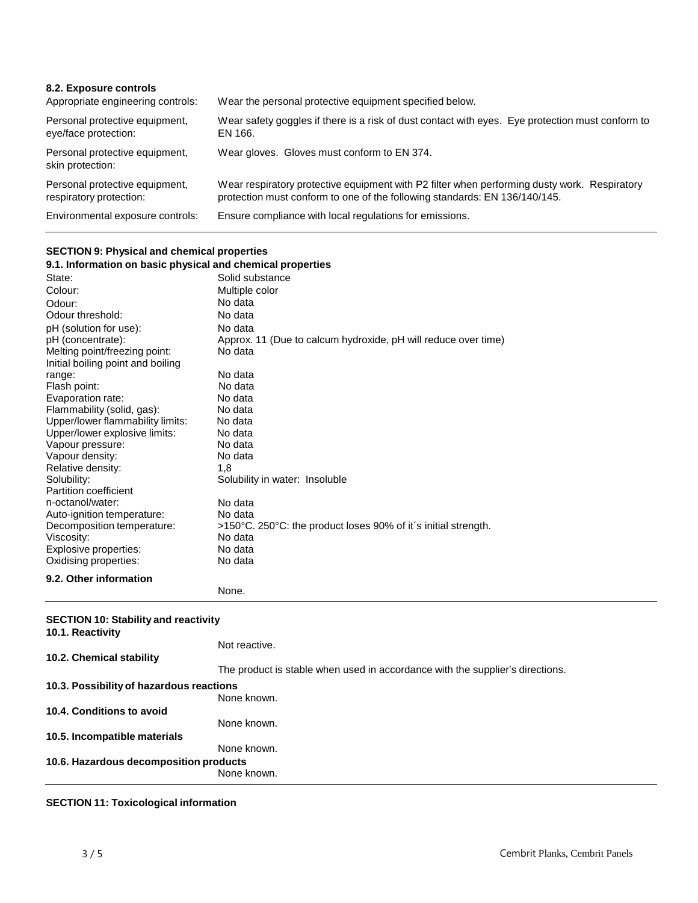| 8.2. Exposure controls<br>Appropriate engineering controls: | Wear the personal protective equipment specified below.                                                                                                                    |
|-------------------------------------------------------------|----------------------------------------------------------------------------------------------------------------------------------------------------------------------------|
| Personal protective equipment,<br>eye/face protection:      | Wear safety goggles if there is a risk of dust contact with eyes. Eye protection must conform to<br>EN 166.                                                                |
| Personal protective equipment,<br>skin protection:          | Wear gloves. Gloves must conform to EN 374.                                                                                                                                |
| Personal protective equipment,<br>respiratory protection:   | Wear respiratory protective equipment with P2 filter when performing dusty work. Respiratory<br>protection must conform to one of the following standards: EN 136/140/145. |
| Environmental exposure controls:                            | Ensure compliance with local regulations for emissions.                                                                                                                    |

#### **SECTION 9: Physical and chemical properties**

| 9.1. Information on basic physical and chemical properties |                                                                           |
|------------------------------------------------------------|---------------------------------------------------------------------------|
| State:                                                     | Solid substance                                                           |
| Colour:                                                    | Multiple color                                                            |
| Odour:                                                     | No data                                                                   |
| Odour threshold:                                           | No data                                                                   |
| pH (solution for use):                                     | No data                                                                   |
| pH (concentrate):                                          | Approx. 11 (Due to calcum hydroxide, pH will reduce over time)            |
| Melting point/freezing point:                              | No data                                                                   |
| Initial boiling point and boiling                          |                                                                           |
| range:                                                     | No data                                                                   |
| Flash point:                                               | No data                                                                   |
| Evaporation rate:                                          | No data                                                                   |
| Flammability (solid, gas):                                 | No data                                                                   |
| Upper/lower flammability limits:                           | No data                                                                   |
| Upper/lower explosive limits:                              | No data                                                                   |
| Vapour pressure:                                           | No data                                                                   |
| Vapour density:                                            | No data                                                                   |
| Relative density:                                          | 1,8                                                                       |
| Solubility:                                                | Solubility in water: Insoluble                                            |
| Partition coefficient                                      |                                                                           |
| n-octanol/water:                                           | No data                                                                   |
| Auto-ignition temperature:                                 | No data                                                                   |
| Decomposition temperature:<br>Viscosity:                   | >150°C. 250°C: the product loses 90% of it's initial strength.<br>No data |
| Explosive properties:                                      | No data                                                                   |
| Oxidising properties:                                      | No data                                                                   |
|                                                            |                                                                           |
| 9.2. Other information                                     |                                                                           |
|                                                            | None.                                                                     |
|                                                            |                                                                           |
| <b>SECTION 10: Stability and reactivity</b>                |                                                                           |

#### **10.1. Reactivity 10.2. Chemical stability** Not reactive. The product is stable when used in accordance with the supplier's directions. **10.3. Possibilityof hazardous reactions** None known. **10.4. Conditions to avoid 10.5. Incompatible materials** None known. None known. **10.6. Hazardous decomposition products** None known.

## **SECTION 11: Toxicological information**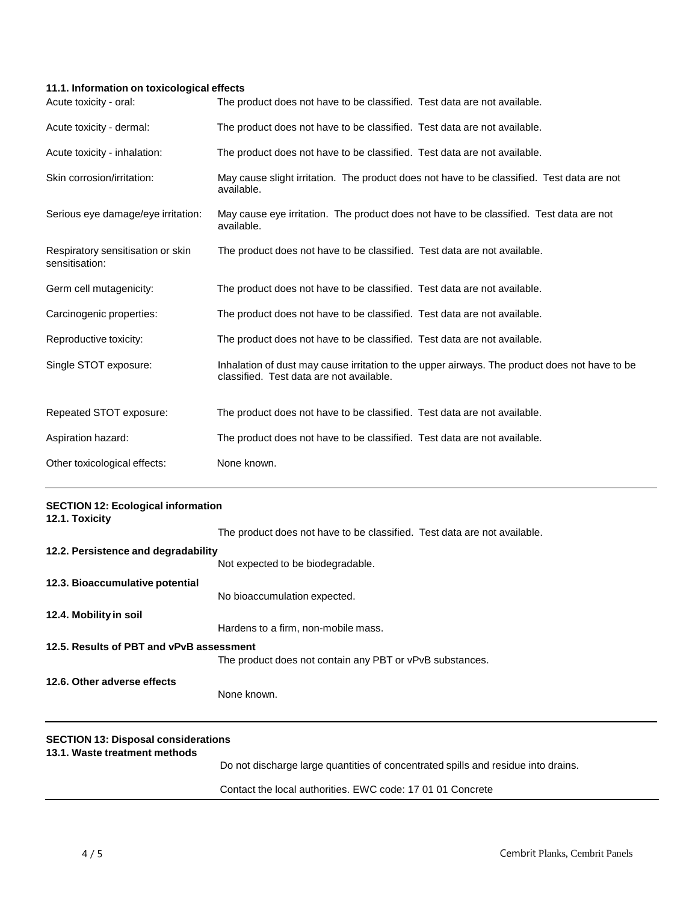### **11.1. Information on toxicological effects**

| Acute toxicity - oral:                              | The product does not have to be classified. Test data are not available.                                                                  |
|-----------------------------------------------------|-------------------------------------------------------------------------------------------------------------------------------------------|
| Acute toxicity - dermal:                            | The product does not have to be classified. Test data are not available.                                                                  |
| Acute toxicity - inhalation:                        | The product does not have to be classified. Test data are not available.                                                                  |
| Skin corrosion/irritation:                          | May cause slight irritation. The product does not have to be classified. Test data are not<br>available.                                  |
| Serious eye damage/eye irritation:                  | May cause eye irritation. The product does not have to be classified. Test data are not<br>available.                                     |
| Respiratory sensitisation or skin<br>sensitisation: | The product does not have to be classified. Test data are not available.                                                                  |
| Germ cell mutagenicity:                             | The product does not have to be classified. Test data are not available.                                                                  |
| Carcinogenic properties:                            | The product does not have to be classified. Test data are not available.                                                                  |
| Reproductive toxicity:                              | The product does not have to be classified. Test data are not available.                                                                  |
| Single STOT exposure:                               | Inhalation of dust may cause irritation to the upper airways. The product does not have to be<br>classified. Test data are not available. |
| Repeated STOT exposure:                             | The product does not have to be classified. Test data are not available.                                                                  |
| Aspiration hazard:                                  | The product does not have to be classified. Test data are not available.                                                                  |
| Other toxicological effects:                        | None known.                                                                                                                               |

| <b>SECTION 12: Ecological information</b><br>12.1. Toxicity |                                                                                   |
|-------------------------------------------------------------|-----------------------------------------------------------------------------------|
|                                                             | The product does not have to be classified. Test data are not available.          |
| 12.2. Persistence and degradability                         |                                                                                   |
|                                                             | Not expected to be biodegradable.                                                 |
| 12.3. Bioaccumulative potential                             |                                                                                   |
|                                                             | No bioaccumulation expected.                                                      |
| 12.4. Mobility in soil                                      |                                                                                   |
|                                                             | Hardens to a firm, non-mobile mass.                                               |
| 12.5. Results of PBT and vPvB assessment                    |                                                                                   |
|                                                             | The product does not contain any PBT or vPvB substances.                          |
| 12.6. Other adverse effects                                 |                                                                                   |
|                                                             | None known.                                                                       |
| <b>SECTION 13: Disposal considerations</b>                  |                                                                                   |
| 13.1. Waste treatment methods                               | Do not discharge large quantities of concentrated spills and residue into drains. |
|                                                             | Contact the local authorities. EWC code: 17 01 01 Concrete                        |